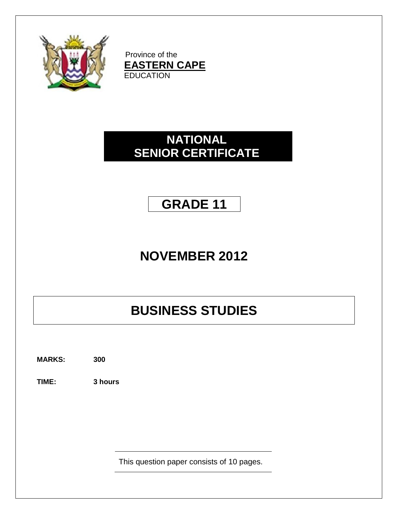

Province of the **EASTERN CAPE EDUCATION** 

# **NATIONAL SENIOR CERTIFICATE**

# **GRADE 11**

# **NOVEMBER 2012**

# **BUSINESS STUDIES**

**MARKS: 300**

**TIME: 3 hours**

This question paper consists of 10 pages.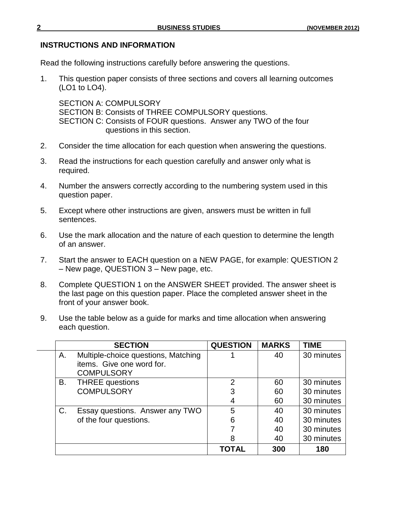### **INSTRUCTIONS AND INFORMATION**

Read the following instructions carefully before answering the questions.

1. This question paper consists of three sections and covers all learning outcomes (LO1 to LO4).

SECTION A: COMPULSORY SECTION B: Consists of THREE COMPULSORY questions. SECTION C: Consists of FOUR questions. Answer any TWO of the four questions in this section.

- 2. Consider the time allocation for each question when answering the questions.
- 3. Read the instructions for each question carefully and answer only what is required.
- 4. Number the answers correctly according to the numbering system used in this question paper.
- 5. Except where other instructions are given, answers must be written in full sentences.
- 6. Use the mark allocation and the nature of each question to determine the length of an answer.
- 7. Start the answer to EACH question on a NEW PAGE, for example: QUESTION 2 – New page, QUESTION 3 – New page, etc.
- 8. Complete QUESTION 1 on the ANSWER SHEET provided. The answer sheet is the last page on this question paper. Place the completed answer sheet in the front of your answer book.
- 9. Use the table below as a guide for marks and time allocation when answering each question.

|    | <b>SECTION</b>                      | <b>QUESTION</b> | <b>MARKS</b> | <b>TIME</b> |
|----|-------------------------------------|-----------------|--------------|-------------|
| Α. | Multiple-choice questions, Matching |                 | 40           | 30 minutes  |
|    | items. Give one word for.           |                 |              |             |
|    | <b>COMPULSORY</b>                   |                 |              |             |
| В. | <b>THREE</b> questions              | 2               | 60           | 30 minutes  |
|    | <b>COMPULSORY</b>                   | 3               | 60           | 30 minutes  |
|    |                                     | 4               | 60           | 30 minutes  |
| C. | Essay questions. Answer any TWO     | 5               | 40           | 30 minutes  |
|    | of the four questions.              | 6               | 40           | 30 minutes  |
|    |                                     |                 | 40           | 30 minutes  |
|    |                                     | 8               | 40           | 30 minutes  |
|    |                                     | TOTAL           | 300          | 180         |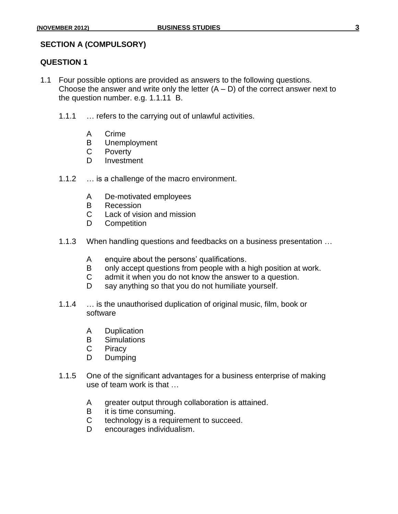#### **SECTION A (COMPULSORY)**

#### **QUESTION 1**

- 1.1 Four possible options are provided as answers to the following questions. Choose the answer and write only the letter  $(A - D)$  of the correct answer next to the question number. e.g. 1.1.11 B.
	- 1.1.1 … refers to the carrying out of unlawful activities.
		- A Crime
		- B Unemployment
		- C Poverty
		- D Investment
	- 1.1.2 … is a challenge of the macro environment.
		- A De-motivated employees
		- B Recession
		- C Lack of vision and mission
		- D Competition
	- 1.1.3 When handling questions and feedbacks on a business presentation …
		- A enquire about the persons' qualifications.
		- B only accept questions from people with a high position at work.
		- C admit it when you do not know the answer to a question.
		- D say anything so that you do not humiliate yourself.
	- 1.1.4 … is the unauthorised duplication of original music, film, book or software
		- A Duplication
		- B Simulations
		- C Piracy
		- D Dumping
	- 1.1.5 One of the significant advantages for a business enterprise of making use of team work is that …
		- A greater output through collaboration is attained.
		- B it is time consuming.
		- C technology is a requirement to succeed.
		- D encourages individualism.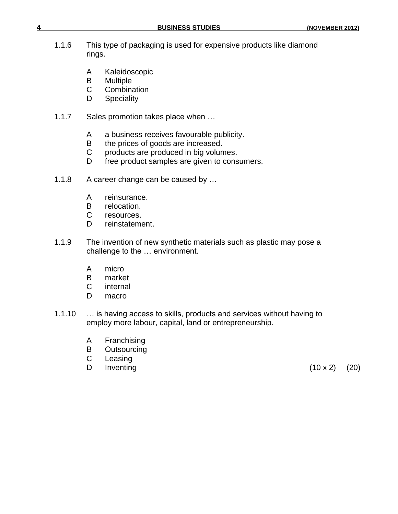| 4 |       |                  | <b>BUSINESS STUDIES</b>                                              | (NOVEMBER 2012) |
|---|-------|------------------|----------------------------------------------------------------------|-----------------|
|   | 1.1.6 | rings.           | This type of packaging is used for expensive products like diamond   |                 |
|   |       | A<br>B<br>C<br>D | Kaleidoscopic<br><b>Multiple</b><br>Combination<br><b>Speciality</b> |                 |
|   | 1.1.7 |                  | Sales promotion takes place when                                     |                 |
|   |       | A                | a business receives favourable publicity.                            |                 |

- B the prices of goods are increased.
- C products are produced in big volumes.
- D free product samples are given to consumers.
- 1.1.8 A career change can be caused by ...
	- A reinsurance.
	- B relocation.
	- C resources.
	- D reinstatement.
- 1.1.9 The invention of new synthetic materials such as plastic may pose a challenge to the … environment.
	- A micro
	- B market
	- C internal
	- D macro
- 1.1.10 … is having access to skills, products and services without having to employ more labour, capital, land or entrepreneurship.
	- A Franchising
	- B Outsourcing
	- C Leasing
	- D Inventing  $(10 \times 2)$   $(20)$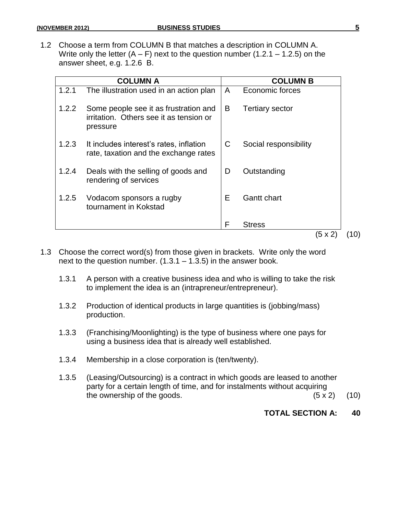1.2 Choose a term from COLUMN B that matches a description in COLUMN A. Write only the letter  $(A - F)$  next to the question number  $(1.2.1 - 1.2.5)$  on the answer sheet, e.g. 1.2.6 B.

|       | COLUMN A                                                                                     |   | <b>COLUMN B</b>        |     |
|-------|----------------------------------------------------------------------------------------------|---|------------------------|-----|
| 1.2.1 | The illustration used in an action plan                                                      | A | Economic forces        |     |
| 1.2.2 | Some people see it as frustration and<br>irritation. Others see it as tension or<br>pressure | B | <b>Tertiary sector</b> |     |
| 1.2.3 | It includes interest's rates, inflation<br>rate, taxation and the exchange rates             | С | Social responsibility  |     |
| 1.2.4 | Deals with the selling of goods and<br>rendering of services                                 | D | Outstanding            |     |
| 1.2.5 | Vodacom sponsors a rugby<br>tournament in Kokstad                                            | E | <b>Gantt chart</b>     |     |
|       |                                                                                              | F | <b>Stress</b>          |     |
|       |                                                                                              |   | 5 x 2                  | 10) |

- 1.3 Choose the correct word(s) from those given in brackets. Write only the word next to the question number.  $(1.3.1 - 1.3.5)$  in the answer book.
	- 1.3.1 A person with a creative business idea and who is willing to take the risk to implement the idea is an (intrapreneur/entrepreneur).
	- 1.3.2 Production of identical products in large quantities is (jobbing/mass) production.
	- 1.3.3 (Franchising/Moonlighting) is the type of business where one pays for using a business idea that is already well established.
	- 1.3.4 Membership in a close corporation is (ten/twenty).
	- 1.3.5 (Leasing/Outsourcing) is a contract in which goods are leased to another party for a certain length of time, and for instalments without acquiring the ownership of the goods.  $(5 \times 2)$  (10)

### **TOTAL SECTION A: 40**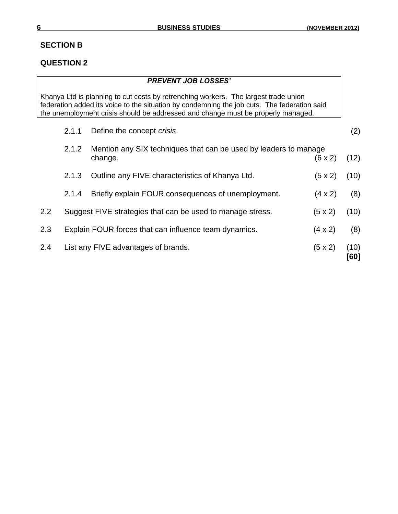## **SECTION B**

## **QUESTION 2**

|         |       | <b>PREVENT JOB LOSSES'</b>                                                                                                                                                                                                                                             |                |              |
|---------|-------|------------------------------------------------------------------------------------------------------------------------------------------------------------------------------------------------------------------------------------------------------------------------|----------------|--------------|
|         |       | Khanya Ltd is planning to cut costs by retrenching workers. The largest trade union<br>federation added its voice to the situation by condemning the job cuts. The federation said<br>the unemployment crisis should be addressed and change must be properly managed. |                |              |
|         | 2.1.1 | Define the concept crisis.                                                                                                                                                                                                                                             |                | (2)          |
|         | 2.1.2 | Mention any SIX techniques that can be used by leaders to manage<br>change.                                                                                                                                                                                            | $(6 \times 2)$ | (12)         |
|         | 2.1.3 | Outline any FIVE characteristics of Khanya Ltd.                                                                                                                                                                                                                        | $(5 \times 2)$ | (10)         |
|         | 2.1.4 | Briefly explain FOUR consequences of unemployment.                                                                                                                                                                                                                     | $(4 \times 2)$ | (8)          |
| $2.2\,$ |       | Suggest FIVE strategies that can be used to manage stress.                                                                                                                                                                                                             | $(5 \times 2)$ | (10)         |
| 2.3     |       | Explain FOUR forces that can influence team dynamics.                                                                                                                                                                                                                  | $(4 \times 2)$ | (8)          |
| 2.4     |       | List any FIVE advantages of brands.                                                                                                                                                                                                                                    | $(5 \times 2)$ | (10)<br>[60] |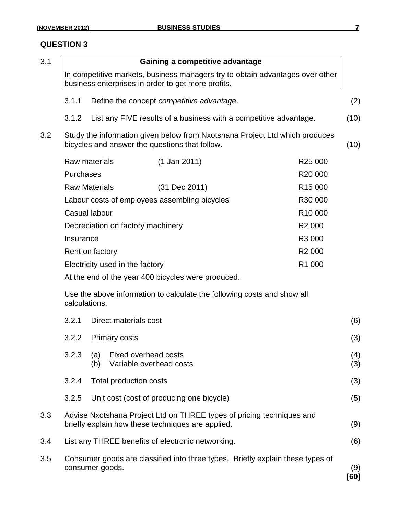### **QUESTION 3**

| 3.1 |                      |            |                                                        | Gaining a competitive advantage                                                                                                     |                     |             |
|-----|----------------------|------------|--------------------------------------------------------|-------------------------------------------------------------------------------------------------------------------------------------|---------------------|-------------|
|     |                      |            |                                                        | In competitive markets, business managers try to obtain advantages over other<br>business enterprises in order to get more profits. |                     |             |
|     | 3.1.1                |            |                                                        | Define the concept competitive advantage.                                                                                           |                     | (2)         |
|     | 3.1.2                |            |                                                        | List any FIVE results of a business with a competitive advantage.                                                                   |                     | (10)        |
| 3.2 |                      |            |                                                        | Study the information given below from Nxotshana Project Ltd which produces<br>bicycles and answer the questions that follow.       |                     | (10)        |
|     | Raw materials        |            |                                                        | $(1$ Jan 2011)                                                                                                                      | R <sub>25</sub> 000 |             |
|     | Purchases            |            |                                                        |                                                                                                                                     | R20 000             |             |
|     | <b>Raw Materials</b> |            |                                                        | (31 Dec 2011)                                                                                                                       | R <sub>15</sub> 000 |             |
|     |                      |            |                                                        | Labour costs of employees assembling bicycles                                                                                       | R30 000             |             |
|     | Casual labour        |            |                                                        |                                                                                                                                     | R <sub>10</sub> 000 |             |
|     |                      |            | Depreciation on factory machinery                      |                                                                                                                                     | R <sub>2</sub> 000  |             |
|     | Insurance            |            |                                                        |                                                                                                                                     | R3 000              |             |
|     | Rent on factory      |            |                                                        |                                                                                                                                     | R <sub>2</sub> 000  |             |
|     |                      |            | Electricity used in the factory                        |                                                                                                                                     | R1 000              |             |
|     |                      |            |                                                        | At the end of the year 400 bicycles were produced.                                                                                  |                     |             |
|     | calculations.        |            |                                                        | Use the above information to calculate the following costs and show all                                                             |                     |             |
|     | 3.2.1                |            | Direct materials cost                                  |                                                                                                                                     |                     | (6)         |
|     | 3.2.2                |            | <b>Primary costs</b>                                   |                                                                                                                                     |                     | (3)         |
|     | 3.2.3                | (a)<br>(b) | <b>Fixed overhead costs</b><br>Variable overhead costs |                                                                                                                                     |                     | (4)<br>(3)  |
|     | 3.2.4                |            | Total production costs                                 |                                                                                                                                     |                     | (3)         |
|     | 3.2.5                |            |                                                        | Unit cost (cost of producing one bicycle)                                                                                           |                     | (5)         |
| 3.3 |                      |            |                                                        | Advise Nxotshana Project Ltd on THREE types of pricing techniques and<br>briefly explain how these techniques are applied.          |                     | (9)         |
| 3.4 |                      |            |                                                        | List any THREE benefits of electronic networking.                                                                                   |                     | (6)         |
| 3.5 | consumer goods.      |            |                                                        | Consumer goods are classified into three types. Briefly explain these types of                                                      |                     | (9)<br>[60] |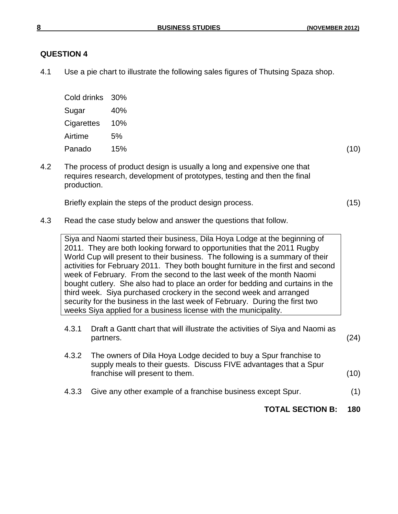### **QUESTION 4**

4.1 Use a pie chart to illustrate the following sales figures of Thutsing Spaza shop.

| Cold drinks 30% |     |
|-----------------|-----|
| Sugar           | 40% |
| Cigarettes 10%  |     |
| Airtime         | 5%  |
| Panado          | 15% |
|                 |     |

4.2 The process of product design is usually a long and expensive one that requires research, development of prototypes, testing and then the final production.

Briefly explain the steps of the product design process. (15)

4.3 Read the case study below and answer the questions that follow.

Siya and Naomi started their business, Dila Hoya Lodge at the beginning of 2011. They are both looking forward to opportunities that the 2011 Rugby World Cup will present to their business. The following is a summary of their activities for February 2011. They both bought furniture in the first and second week of February. From the second to the last week of the month Naomi bought cutlery. She also had to place an order for bedding and curtains in the third week. Siya purchased crockery in the second week and arranged security for the business in the last week of February. During the first two weeks Siya applied for a business license with the municipality.

- 4.3.1 Draft a Gantt chart that will illustrate the activities of Siya and Naomi as partners. (24)
- 4.3.2 The owners of Dila Hoya Lodge decided to buy a Spur franchise to supply meals to their guests. Discuss FIVE advantages that a Spur franchise will present to them. (10)
- 4.3.3 Give any other example of a franchise business except Spur. (1)

**TOTAL SECTION B: 180**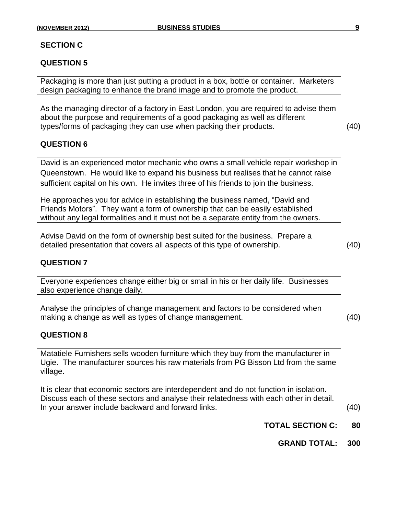### **SECTION C**

### **QUESTION 5**

Packaging is more than just putting a product in a box, bottle or container. Marketers design packaging to enhance the brand image and to promote the product.

As the managing director of a factory in East London, you are required to advise them about the purpose and requirements of a good packaging as well as different types/forms of packaging they can use when packing their products. (40)

#### **QUESTION 6**

David is an experienced motor mechanic who owns a small vehicle repair workshop in Queenstown. He would like to expand his business but realises that he cannot raise sufficient capital on his own. He invites three of his friends to join the business.

He approaches you for advice in establishing the business named, "David and Friends Motors". They want a form of ownership that can be easily established without any legal formalities and it must not be a separate entity from the owners.

Advise David on the form of ownership best suited for the business. Prepare a detailed presentation that covers all aspects of this type of ownership. (40)

### **QUESTION 7**

Everyone experiences change either big or small in his or her daily life. Businesses also experience change daily.

Analyse the principles of change management and factors to be considered when making a change as well as types of change management. (40)

**QUESTION 8**

Matatiele Furnishers sells wooden furniture which they buy from the manufacturer in Ugie. The manufacturer sources his raw materials from PG Bisson Ltd from the same village.

It is clear that economic sectors are interdependent and do not function in isolation. Discuss each of these sectors and analyse their relatedness with each other in detail. In your answer include backward and forward links. (40)

- **TOTAL SECTION C: 80**
	- **GRAND TOTAL: 300**